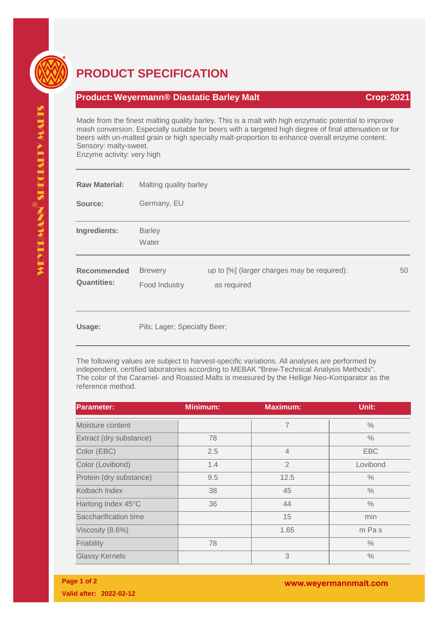

## **PRODUCT SPECIFICATION**

## **Product:Weyermann® Diastatic Barley Malt Crop:2021**

Made from the finest malting quality barley. This is a malt with high enzymatic potential to improve mash conversion. Especially suitable for beers with a targeted high degree of final attenuation or for beers with un-malted grain or high specialty malt-proportion to enhance overall enzyme content. Sensory: malty-sweet. Enzyme activity: very high

| <b>Raw Material:</b>                     | Malting quality barley          |                                                            |    |  |  |
|------------------------------------------|---------------------------------|------------------------------------------------------------|----|--|--|
| Source:                                  | Germany, EU                     |                                                            |    |  |  |
| Ingredients:                             | <b>Barley</b><br>Water          |                                                            |    |  |  |
| <b>Recommended</b><br><b>Quantities:</b> | <b>Brewery</b><br>Food Industry | up to [%] (larger charges may be required):<br>as required | 50 |  |  |
| the transport of the second state of     | D'IL I L'ALLA QUELLE DE L'A     |                                                            |    |  |  |

**Usage:** Pils; Lager; Specialty Beer;

The following values are subject to harvest-specific variations. All analyses are performed by independent, certified laboratories according to MEBAK "Brew-Technical Analysis Methods". The color of the Caramel- and Roasted Malts is measured by the Hellige Neo-Komparator as the reference method.

| <b>Parameter:</b>       | <b>Minimum:</b> | <b>Maximum:</b> | Unit:         |
|-------------------------|-----------------|-----------------|---------------|
| Moisture content        |                 | $\overline{7}$  | $\frac{0}{0}$ |
| Extract (dry substance) | 78              |                 | $\frac{0}{0}$ |
| Color (EBC)             | 2.5             | $\overline{4}$  | <b>EBC</b>    |
| Color (Lovibond)        | 1.4             | $\overline{2}$  | Lovibond      |
| Protein (dry substance) | 9.5             | 12.5            | $\%$          |
| Kolbach Index           | 38              | 45              | $\frac{0}{0}$ |
| Hartong Index 45°C      | 36              | 44              | $\frac{0}{0}$ |
| Saccharification time   |                 | 15              | min           |
| Viscosity (8.6%)        |                 | 1.65            | m Pas         |
| Friability              | 78              |                 | $\%$          |
| <b>Glassy Kernels</b>   |                 | 3               | $\frac{0}{0}$ |